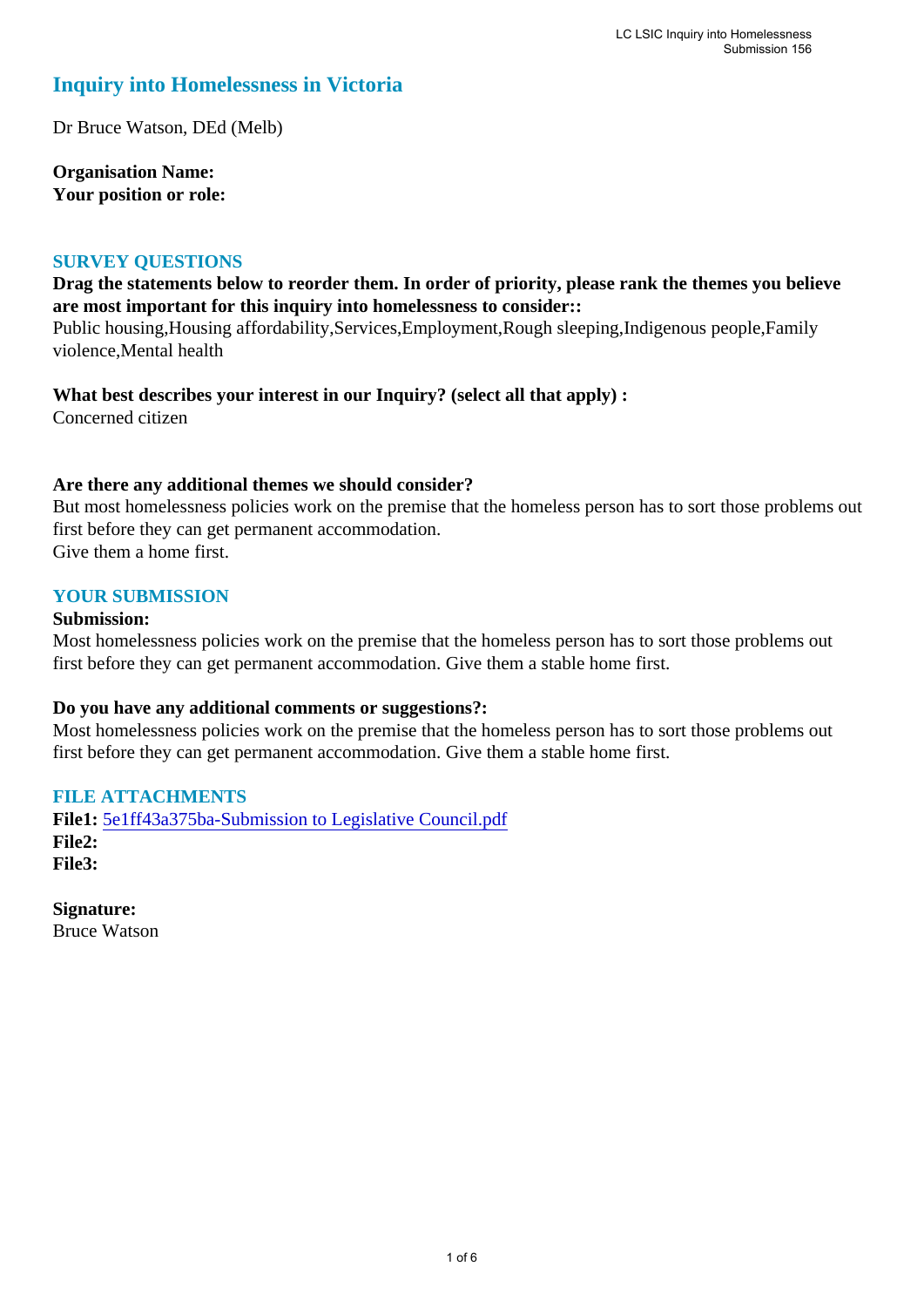## **Inquiry into Homelessness in Victoria**

Dr Bruce Watson, DEd (Melb)

**Organisation Name: Your position or role:** 

### **SURVEY QUESTIONS**

### **Drag the statements below to reorder them. In order of priority, please rank the themes you believe are most important for this inquiry into homelessness to consider::**

Public housing,Housing affordability,Services,Employment,Rough sleeping,Indigenous people,Family violence,Mental health

**What best describes your interest in our Inquiry? (select all that apply) :** 

Concerned citizen

### **Are there any additional themes we should consider?**

But most homelessness policies work on the premise that the homeless person has to sort those problems out first before they can get permanent accommodation. Give them a home first.

#### **YOUR SUBMISSION**

#### **Submission:**

Most homelessness policies work on the premise that the homeless person has to sort those problems out first before they can get permanent accommodation. Give them a stable home first.

### **Do you have any additional comments or suggestions?:**

Most homelessness policies work on the premise that the homeless person has to sort those problems out first before they can get permanent accommodation. Give them a stable home first.

### **FILE ATTACHMENTS**

**File1:** [5e1ff43a375ba-Submission to Legislative Council.pdf](https://www.parliament.vic.gov.au/component/rsform/submission-view-file/5ebd57d583695740b82e68622c00511d/9a56c815c42f618433fc0439ea818125?Itemid=527) **File2: File3:** 

**Signature:** Bruce Watson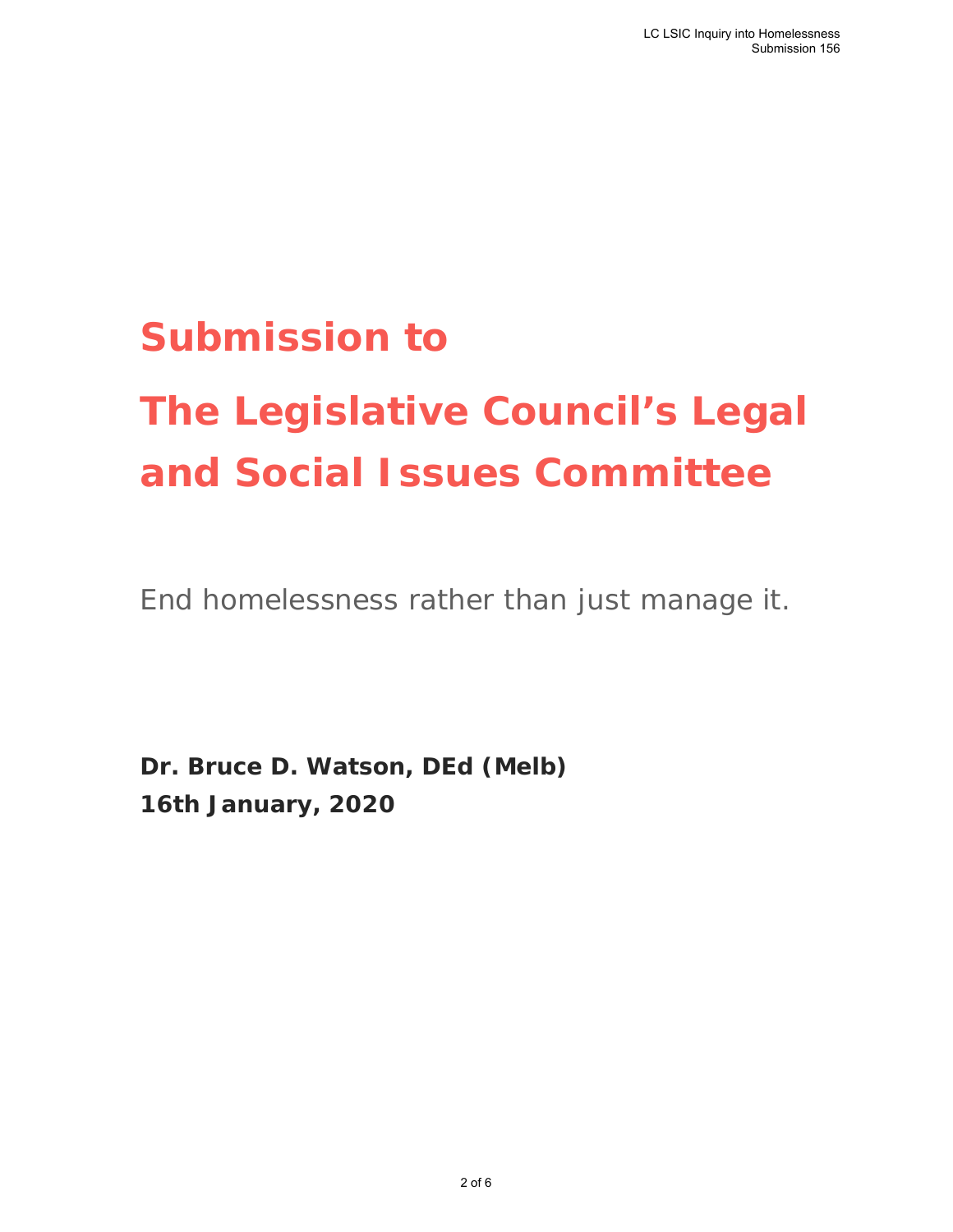## **Submission to**

# **The Legislative Council's Legal and Social Issues Committee**

End homelessness rather than just manage it.

**Dr. Bruce D. Watson, DEd (Melb) 16th January, 2020**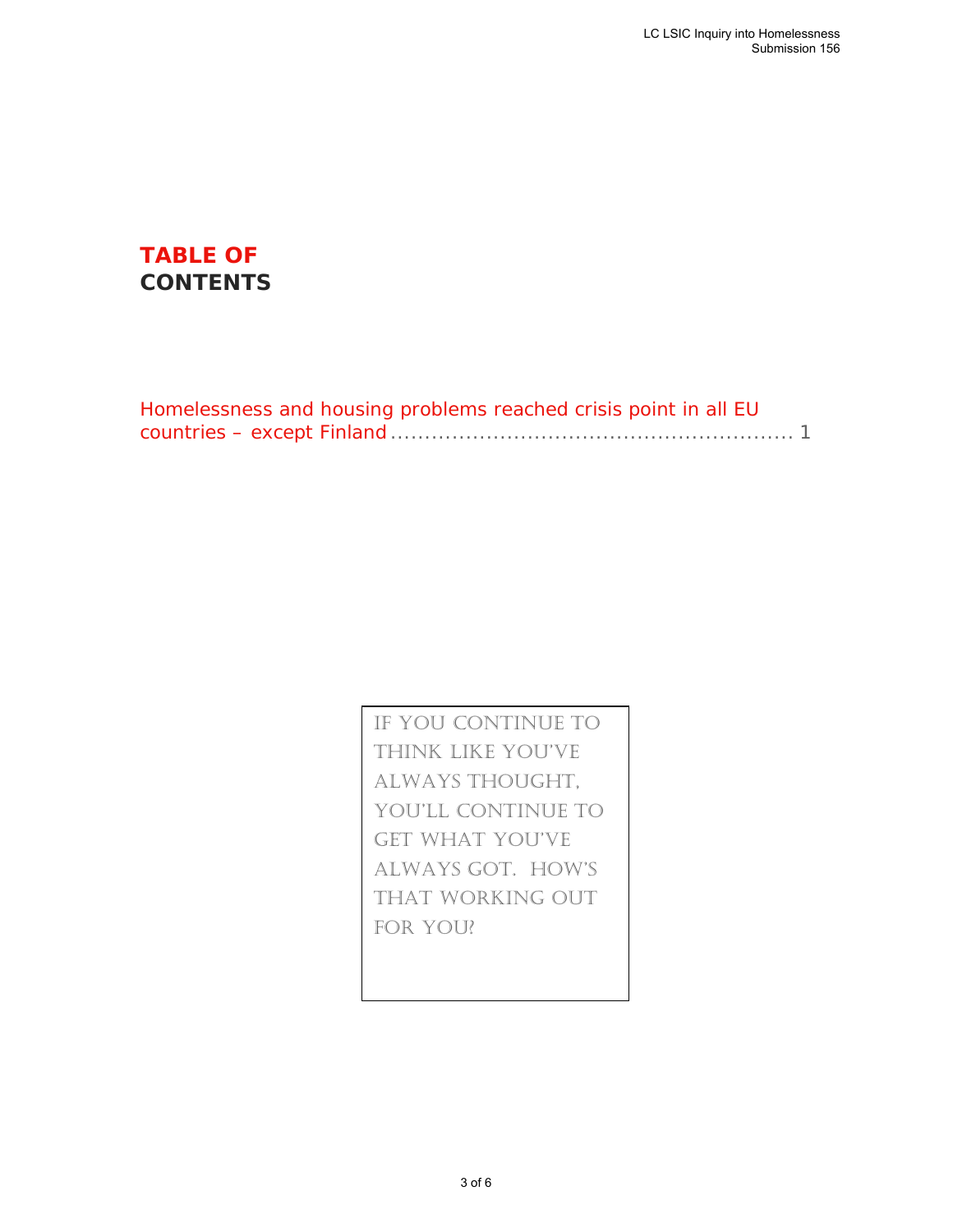## **TABLE OF CONTENTS**

| Homelessness and housing problems reached crisis point in all EU |  |
|------------------------------------------------------------------|--|
|                                                                  |  |

If you continue to think like you've always thought, you'll continue to get what you've always got. How's that working out for you?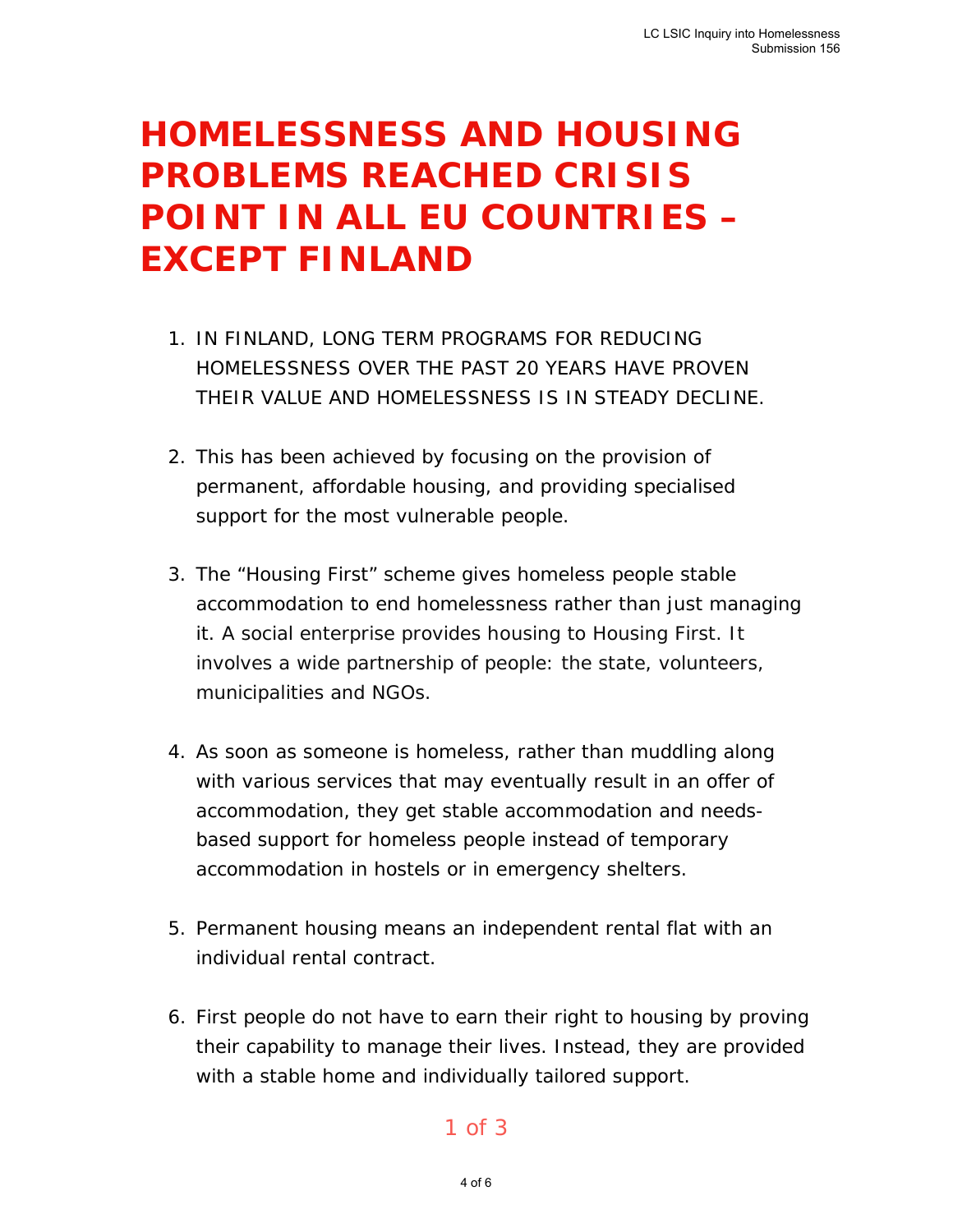## **HOMELESSNESS AND HOUSING PROBLEMS REACHED CRISIS POINT IN ALL EU COUNTRIES – EXCEPT FINLAND**

- 1. IN FINLAND, LONG TERM PROGRAMS FOR REDUCING HOMELESSNESS OVER THE PAST 20 YEARS HAVE PROVEN THEIR VALUE AND HOMELESSNESS IS IN STEADY DECLINE.
- 2. This has been achieved by focusing on the provision of permanent, affordable housing, and providing specialised support for the most vulnerable people.
- 3. The "Housing First" scheme gives homeless people stable accommodation to end homelessness rather than just managing it. A social enterprise provides housing to Housing First. It involves a wide partnership of people: the state, volunteers, municipalities and NGOs.
- 4. As soon as someone is homeless, rather than muddling along with various services that may eventually result in an offer of accommodation, they get stable accommodation and needsbased support for homeless people instead of temporary accommodation in hostels or in emergency shelters.
- 5. Permanent housing means an independent rental flat with an individual rental contract.
- 6. First people do not have to earn their right to housing by proving their capability to manage their lives. Instead, they are provided with a stable home and individually tailored support.

### 1 of 3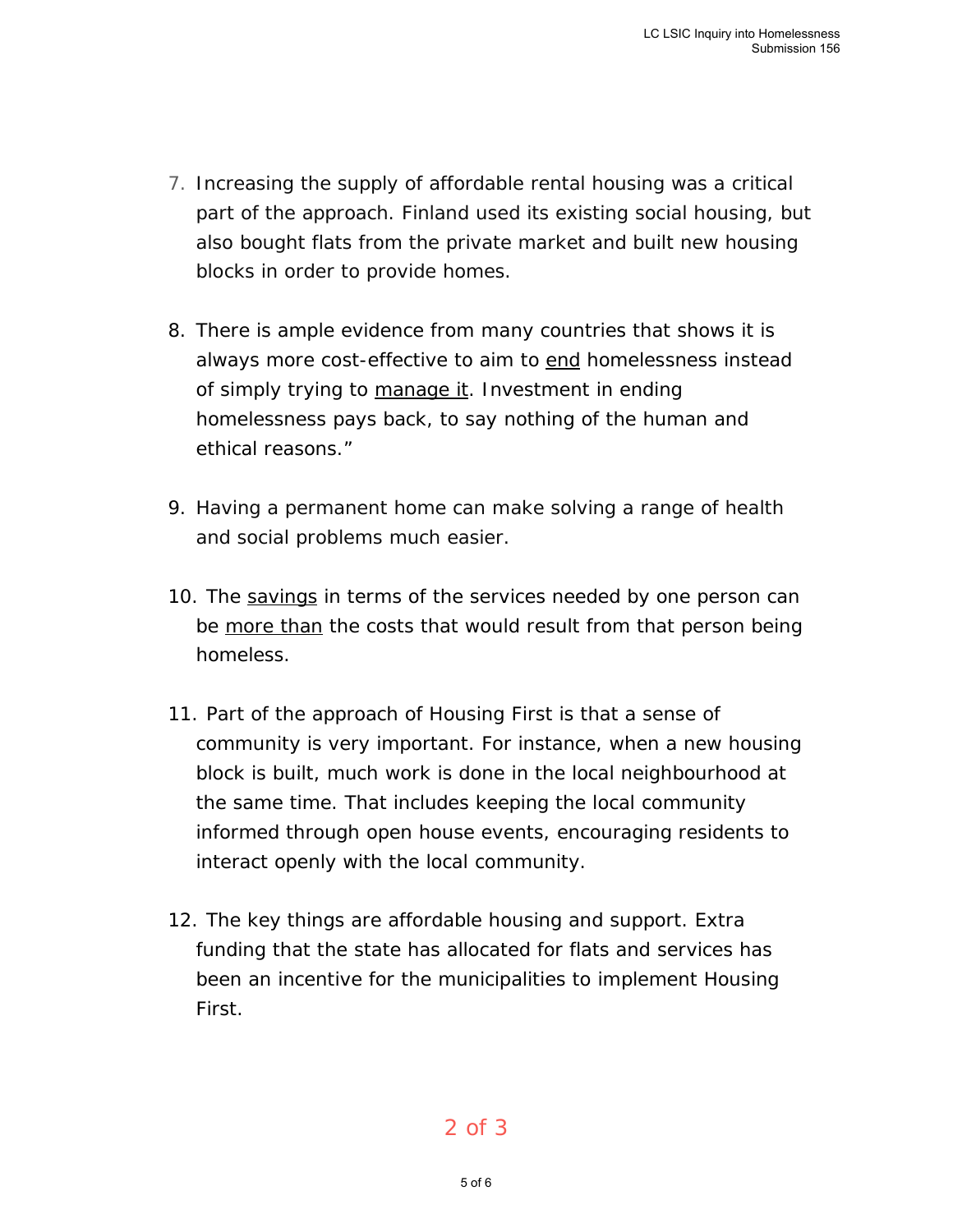- 7. Increasing the supply of affordable rental housing was a critical part of the approach. Finland used its existing social housing, but also bought flats from the private market and built new housing blocks in order to provide homes.
- 8. There is ample evidence from many countries that shows it is always more cost-effective to aim to end homelessness instead of simply trying to manage it. Investment in ending homelessness pays back, to say nothing of the human and ethical reasons."
- 9. Having a permanent home can make solving a range of health and social problems much easier.
- 10. The savings in terms of the services needed by one person can be more than the costs that would result from that person being homeless.
- 11. Part of the approach of Housing First is that a sense of community is very important. For instance, when a new housing block is built, much work is done in the local neighbourhood at the same time. That includes keeping the local community informed through open house events, encouraging residents to interact openly with the local community.
- 12. The key things are affordable housing and support. Extra funding that the state has allocated for flats and services has been an incentive for the municipalities to implement Housing First.

### 2 of 3